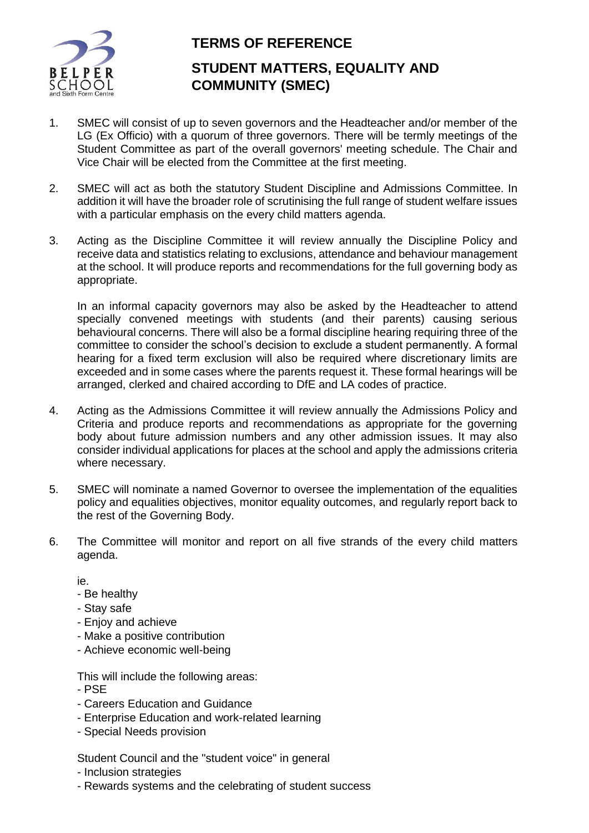

## **TERMS OF REFERENCE**

## **STUDENT MATTERS, EQUALITY AND COMMUNITY (SMEC)**

- 1. SMEC will consist of up to seven governors and the Headteacher and/or member of the LG (Ex Officio) with a quorum of three governors. There will be termly meetings of the Student Committee as part of the overall governors' meeting schedule. The Chair and Vice Chair will be elected from the Committee at the first meeting.
- 2. SMEC will act as both the statutory Student Discipline and Admissions Committee. In addition it will have the broader role of scrutinising the full range of student welfare issues with a particular emphasis on the every child matters agenda.
- 3. Acting as the Discipline Committee it will review annually the Discipline Policy and receive data and statistics relating to exclusions, attendance and behaviour management at the school. It will produce reports and recommendations for the full governing body as appropriate.

In an informal capacity governors may also be asked by the Headteacher to attend specially convened meetings with students (and their parents) causing serious behavioural concerns. There will also be a formal discipline hearing requiring three of the committee to consider the school's decision to exclude a student permanently. A formal hearing for a fixed term exclusion will also be required where discretionary limits are exceeded and in some cases where the parents request it. These formal hearings will be arranged, clerked and chaired according to DfE and LA codes of practice.

- 4. Acting as the Admissions Committee it will review annually the Admissions Policy and Criteria and produce reports and recommendations as appropriate for the governing body about future admission numbers and any other admission issues. It may also consider individual applications for places at the school and apply the admissions criteria where necessary.
- 5. SMEC will nominate a named Governor to oversee the implementation of the equalities policy and equalities objectives, monitor equality outcomes, and regularly report back to the rest of the Governing Body.
- 6. The Committee will monitor and report on all five strands of the every child matters agenda.

ie.

- Be healthy
- Stay safe
- Enjoy and achieve
- Make a positive contribution
- Achieve economic well-being

This will include the following areas:

- PSE
- Careers Education and Guidance
- Enterprise Education and work-related learning
- Special Needs provision

Student Council and the "student voice" in general

- Inclusion strategies
- Rewards systems and the celebrating of student success